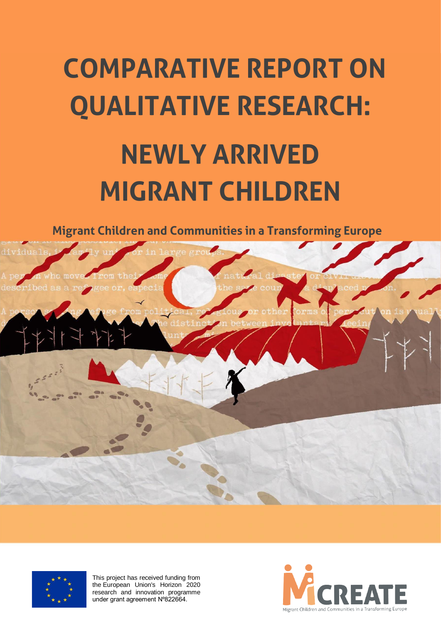# **COMPARATIVE REPORT ON QUALITATIVE RESEARCH: NEWLY ARRIVED MIGRANT CHILDREN**

**Migrant Children and Communities in a Transforming Europe** 



![](_page_0_Picture_3.jpeg)

This project has received funding from the European Union's Horizon 2020 research and innovation programme under grant agreement Nº822664.

![](_page_0_Picture_5.jpeg)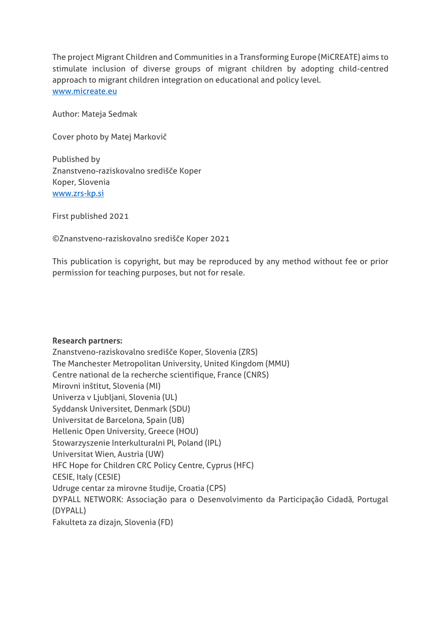The project Migrant Children and Communities in a Transforming Europe (MiCREATE) aims to stimulate inclusion of diverse groups of migrant children by adopting child-centred approach to migrant children integration on educational and policy level. [www.micreate.eu](http://www.micreate.eu/)

Author: Mateja Sedmak

Cover photo by Matej Markovič

Published by Znanstveno-raziskovalno središče Koper Koper, Slovenia [www.zrs-kp.si](http://www.zrs-kp.si/)

First published 2021

©Znanstveno-raziskovalno središče Koper 2021

This publication is copyright, but may be reproduced by any method without fee or prior permission for teaching purposes, but not for resale.

#### **Research partners:**

Znanstveno-raziskovalno središče Koper, Slovenia (ZRS) The Manchester Metropolitan University, United Kingdom (MMU) Centre national de la recherche scientifique, France (CNRS) Mirovni inštitut, Slovenia (MI) Univerza v Ljubljani, Slovenia (UL) Syddansk Universitet, Denmark (SDU) Universitat de Barcelona, Spain (UB) Hellenic Open University, Greece (HOU) Stowarzyszenie Interkulturalni Pl, Poland (IPL) Universitat Wien, Austria (UW) HFC Hope for Children CRC Policy Centre, Cyprus (HFC) CESIE, Italy (CESIE) Udruge centar za mirovne študije, Croatia (CPS) DYPALL NETWORK: Associação para o Desenvolvimento da Participação Cidadã, Portugal (DYPALL) Fakulteta za dizajn, Slovenia (FD)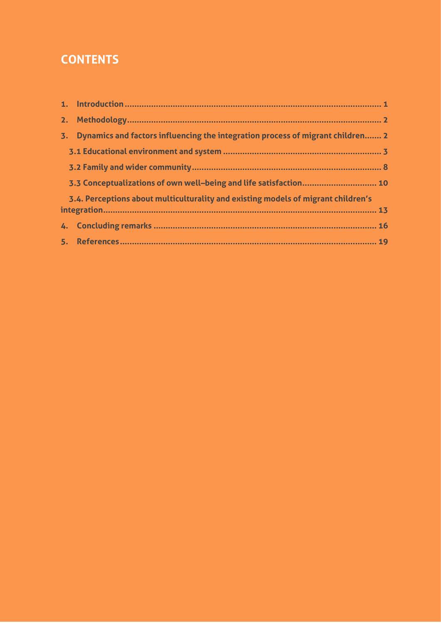# **CONTENTS**

| 2. |                                                                                   |  |
|----|-----------------------------------------------------------------------------------|--|
| 3. | Dynamics and factors influencing the integration process of migrant children 2    |  |
|    |                                                                                   |  |
|    |                                                                                   |  |
|    | 3.3 Conceptualizations of own well-being and life satisfaction 10                 |  |
|    | 3.4. Perceptions about multiculturality and existing models of migrant children's |  |
|    |                                                                                   |  |
|    |                                                                                   |  |
|    |                                                                                   |  |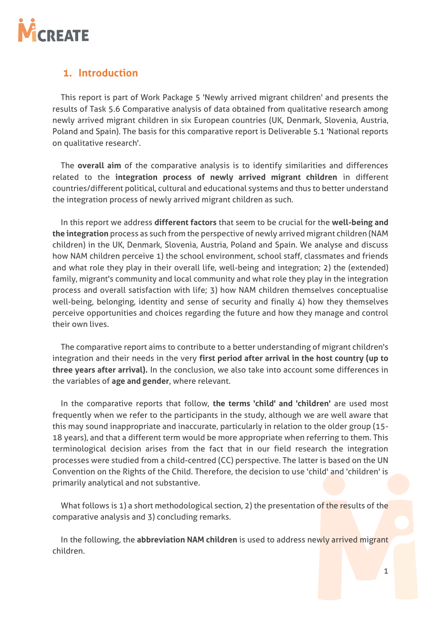![](_page_3_Picture_0.jpeg)

## <span id="page-3-0"></span>**1. Introduction**

This report is part of Work Package 5 'Newly arrived migrant children' and presents the results of Task 5.6 Comparative analysis of data obtained from qualitative research among newly arrived migrant children in six European countries (UK, Denmark, Slovenia, Austria, Poland and Spain). The basis for this comparative report is Deliverable 5.1 'National reports on qualitative research'.

The **overall aim** of the comparative analysis is to identify similarities and differences related to the **integration process of newly arrived migrant children** in different countries/different political, cultural and educational systems and thus to better understand the integration process of newly arrived migrant children as such.

In this report we address **different factors** that seem to be crucial for the **well-being and the integration** process as such from the perspective of newly arrived migrant children (NAM children) in the UK, Denmark, Slovenia, Austria, Poland and Spain. We analyse and discuss how NAM children perceive 1) the school environment, school staff, classmates and friends and what role they play in their overall life, well-being and integration; 2) the (extended) family, migrant's community and local community and what role they play in the integration process and overall satisfaction with life; 3) how NAM children themselves conceptualise well-being, belonging, identity and sense of security and finally 4) how they themselves perceive opportunities and choices regarding the future and how they manage and control their own lives.

The comparative report aims to contribute to a better understanding of migrant children's integration and their needs in the very **first period after arrival in the host country (up to three years after arrival).** In the conclusion, we also take into account some differences in the variables of **age and gender**, where relevant.

In the comparative reports that follow, **the terms 'child' and 'children'** are used most frequently when we refer to the participants in the study, although we are well aware that this may sound inappropriate and inaccurate, particularly in relation to the older group (15- 18 years), and that a different term would be more appropriate when referring to them. This terminological decision arises from the fact that in our field research the integration processes were studied from a child-centred (CC) perspective. The latter is based on the UN Convention on the Rights of the Child. Therefore, the decision to use 'child' and 'children' is primarily analytical and not substantive.

What follows is 1) a short methodological section, 2) the presentation of the results of the comparative analysis and 3) concluding remarks.

In the following, the **abbreviation NAM children** is used to address newly arrived migrant children.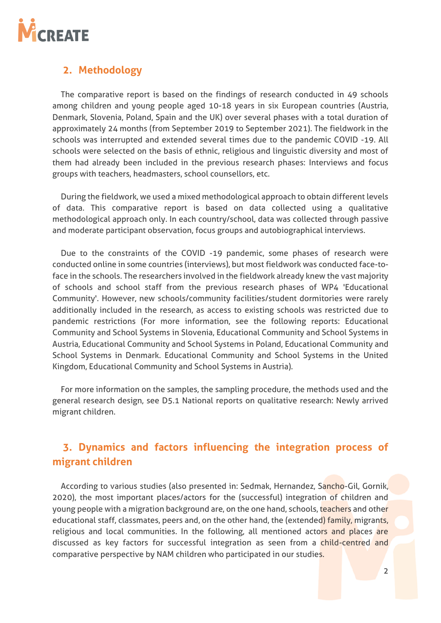![](_page_4_Picture_0.jpeg)

# <span id="page-4-0"></span>**2. Methodology**

The comparative report is based on the findings of research conducted in 49 schools among children and young people aged 10-18 years in six European countries (Austria, Denmark, Slovenia, Poland, Spain and the UK) over several phases with a total duration of approximately 24 months (from September 2019 to September 2021). The fieldwork in the schools was interrupted and extended several times due to the pandemic COVID -19. All schools were selected on the basis of ethnic, religious and linguistic diversity and most of them had already been included in the previous research phases: Interviews and focus groups with teachers, headmasters, school counsellors, etc.

During the fieldwork, we used a mixed methodological approach to obtain different levels of data. This comparative report is based on data collected using a qualitative methodological approach only. In each country/school, data was collected through passive and moderate participant observation, focus groups and autobiographical interviews.

Due to the constraints of the COVID -19 pandemic, some phases of research were conducted online in some countries (interviews), but most fieldwork was conducted face-toface in the schools. The researchers involved in the fieldwork already knew the vast majority of schools and school staff from the previous research phases of WP4 'Educational Community'. However, new schools/community facilities/student dormitories were rarely additionally included in the research, as access to existing schools was restricted due to pandemic restrictions (For more information, see the following reports: Educational Community and School Systems in Slovenia, Educational Community and School Systems in Austria, Educational Community and School Systems in Poland, Educational Community and School Systems in Denmark. Educational Community and School Systems in the United Kingdom, Educational Community and School Systems in Austria).

For more information on the samples, the sampling procedure, the methods used and the general research design, see D5.1 National reports on qualitative research: Newly arrived migrant children.

# <span id="page-4-1"></span>**3. Dynamics and factors influencing the integration process of migrant children**

According to various studies (also presented in: Sedmak, Hernandez, Sancho-Gil, Gornik, 2020), the most important places/actors for the (successful) integration of children and young people with a migration background are, on the one hand, schools, teachers and other educational staff, classmates, peers and, on the other hand, the (extended) family, migrants, religious and local communities. In the following, all mentioned actors and places are discussed as key factors for successful integration as seen from a child-centred and comparative perspective by NAM children who participated in our studies.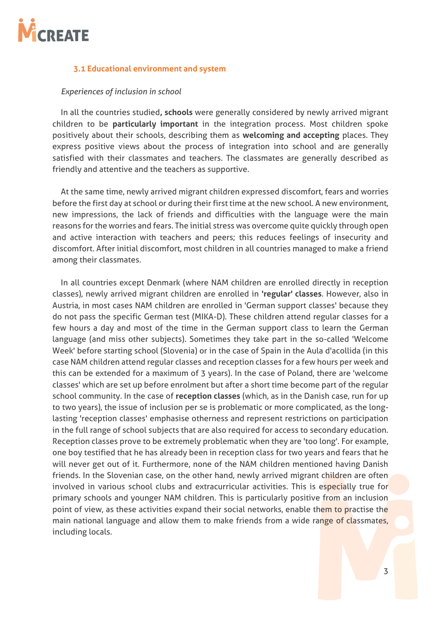![](_page_5_Picture_0.jpeg)

#### <span id="page-5-0"></span>**3.1 Educational environment and system**

#### *Experiences of inclusion in school*

In all the countries studied**, schools** were generally considered by newly arrived migrant children to be **particularly important** in the integration process. Most children spoke positively about their schools, describing them as **welcoming and accepting** places. They express positive views about the process of integration into school and are generally satisfied with their classmates and teachers. The classmates are generally described as friendly and attentive and the teachers as supportive.

At the same time, newly arrived migrant children expressed discomfort, fears and worries before the first day at school or during their first time at the new school. A new environment, new impressions, the lack of friends and difficulties with the language were the main reasons for the worries and fears. The initial stress was overcome quite quickly through open and active interaction with teachers and peers; this reduces feelings of insecurity and discomfort. After initial discomfort, most children in all countries managed to make a friend among their classmates.

In all countries except Denmark (where NAM children are enrolled directly in reception classes), newly arrived migrant children are enrolled in **'regular' classes**. However, also in Austria, in most cases NAM children are enrolled in 'German support classes' because they do not pass the specific German test (MIKA-D). These children attend regular classes for a few hours a day and most of the time in the German support class to learn the German language (and miss other subjects). Sometimes they take part in the so-called 'Welcome Week' before starting school (Slovenia) or in the case of Spain in the Aula d'acollida (in this case NAM children attend regular classes and reception classes for a few hours per week and this can be extended for a maximum of 3 years). In the case of Poland, there are 'welcome classes' which are set up before enrolment but after a short time become part of the regular school community. In the case of **reception classes** (which, as in the Danish case, run for up to two years), the issue of inclusion per se is problematic or more complicated, as the longlasting 'reception classes' emphasise otherness and represent restrictions on participation in the full range of school subjects that are also required for access to secondary education. Reception classes prove to be extremely problematic when they are 'too long'. For example, one boy testified that he has already been in reception class for two years and fears that he will never get out of it. Furthermore, none of the NAM children mentioned having Danish friends. In the Slovenian case, on the other hand, newly arrived migrant children are often involved in various school clubs and extracurricular activities. This is especially true for primary schools and younger NAM children. This is particularly positive from an inclusion point of view, as these activities expand their social networks, enable them to practise the main national language and allow them to make friends from a wide range of classmates, including locals.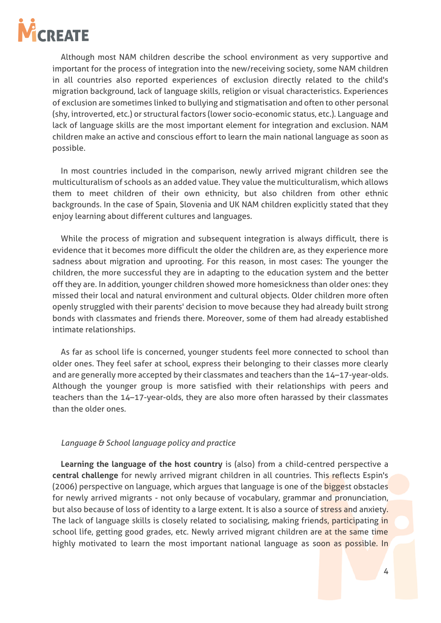![](_page_6_Picture_0.jpeg)

Although most NAM children describe the school environment as very supportive and important for the process of integration into the new/receiving society, some NAM children in all countries also reported experiences of exclusion directly related to the child's migration background, lack of language skills, religion or visual characteristics. Experiences of exclusion are sometimes linked to bullying and stigmatisation and often to other personal (shy, introverted, etc.) or structural factors (lower socio-economic status, etc.). Language and lack of language skills are the most important element for integration and exclusion. NAM children make an active and conscious effort to learn the main national language as soon as possible.

In most countries included in the comparison, newly arrived migrant children see the multiculturalism of schools as an added value. They value the multiculturalism, which allows them to meet children of their own ethnicity, but also children from other ethnic backgrounds. In the case of Spain, Slovenia and UK NAM children explicitly stated that they enjoy learning about different cultures and languages.

While the process of migration and subsequent integration is always difficult, there is evidence that it becomes more difficult the older the children are, as they experience more sadness about migration and uprooting. For this reason, in most cases: The younger the children, the more successful they are in adapting to the education system and the better off they are. In addition, younger children showed more homesickness than older ones: they missed their local and natural environment and cultural objects. Older children more often openly struggled with their parents' decision to move because they had already built strong bonds with classmates and friends there. Moreover, some of them had already established intimate relationships.

As far as school life is concerned, younger students feel more connected to school than older ones. They feel safer at school, express their belonging to their classes more clearly and are generally more accepted by their classmates and teachers than the 14–17-year-olds. Although the younger group is more satisfied with their relationships with peers and teachers than the 14–17-year-olds, they are also more often harassed by their classmates than the older ones.

#### *Language & School language policy and practice*

**Learning the language of the host country** is (also) from a child-centred perspective a **central challenge** for newly arrived migrant children in all countries. This reflects Espin's (2006) perspective on language, which argues that language is one of the **bigge**st obstacles for newly arrived migrants - not only because of vocabulary, grammar and pronunciation, but also because of loss of identity to a large extent. It is also a source of stress and anxiety. The lack of language skills is closely related to socialising, making friends, participating in school life, getting good grades, etc. Newly arrived migrant children are at the same time highly motivated to learn the most important national language as soon as possible. In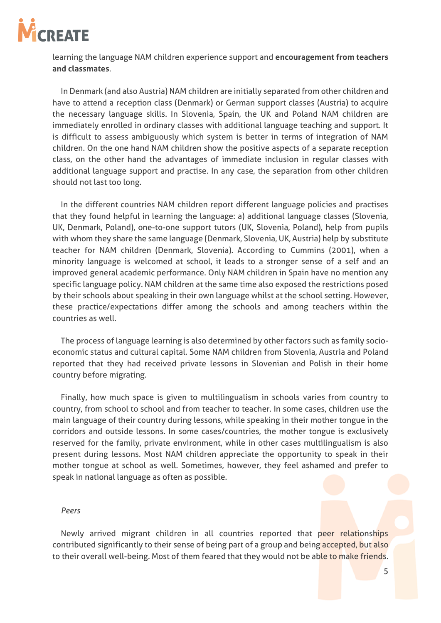![](_page_7_Picture_0.jpeg)

learning the language NAM children experience support and **encouragement from teachers and classmates**.

In Denmark (and also Austria) NAM children are initially separated from other children and have to attend a reception class (Denmark) or German support classes (Austria) to acquire the necessary language skills. In Slovenia, Spain, the UK and Poland NAM children are immediately enrolled in ordinary classes with additional language teaching and support. It is difficult to assess ambiguously which system is better in terms of integration of NAM children. On the one hand NAM children show the positive aspects of a separate reception class, on the other hand the advantages of immediate inclusion in regular classes with additional language support and practise. In any case, the separation from other children should not last too long.

In the different countries NAM children report different language policies and practises that they found helpful in learning the language: a) additional language classes (Slovenia, UK, Denmark, Poland), one-to-one support tutors (UK, Slovenia, Poland), help from pupils with whom they share the same language (Denmark, Slovenia, UK, Austria) help by substitute teacher for NAM children (Denmark, Slovenia). According to Cummins (2001), when a minority language is welcomed at school, it leads to a stronger sense of a self and an improved general academic performance. Only NAM children in Spain have no mention any specific language policy. NAM children at the same time also exposed the restrictions posed by their schools about speaking in their own language whilst at the school setting. However, these practice/expectations differ among the schools and among teachers within the countries as well.

The process of language learning is also determined by other factors such as family socioeconomic status and cultural capital. Some NAM children from Slovenia, Austria and Poland reported that they had received private lessons in Slovenian and Polish in their home country before migrating.

Finally, how much space is given to multilingualism in schools varies from country to country, from school to school and from teacher to teacher. In some cases, children use the main language of their country during lessons, while speaking in their mother tongue in the corridors and outside lessons. In some cases/countries, the mother tongue is exclusively reserved for the family, private environment, while in other cases multilingualism is also present during lessons. Most NAM children appreciate the opportunity to speak in their mother tongue at school as well. Sometimes, however, they feel ashamed and prefer to speak in national language as often as possible.

#### *Peers*

Newly arrived migrant children in all countries reported that peer relationships contributed significantly to their sense of being part of a group and being accepted, but also to their overall well-being. Most of them feared that they would not be able to make friends.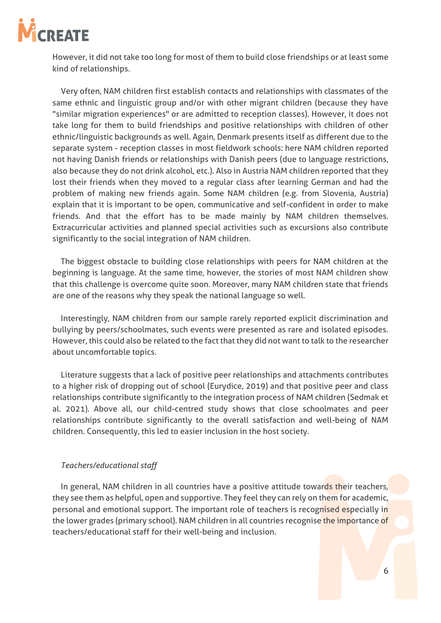![](_page_8_Picture_0.jpeg)

However, it did not take too long for most of them to build close friendships or at least some kind of relationships.

Very often, NAM children first establish contacts and relationships with classmates of the same ethnic and linguistic group and/or with other migrant children (because they have "similar migration experiences" or are admitted to reception classes). However, it does not take long for them to build friendships and positive relationships with children of other ethnic/linguistic backgrounds as well. Again, Denmark presents itself as different due to the separate system - reception classes in most fieldwork schools: here NAM children reported not having Danish friends or relationships with Danish peers (due to language restrictions, also because they do not drink alcohol, etc.). Also in Austria NAM children reported that they lost their friends when they moved to a regular class after learning German and had the problem of making new friends again. Some NAM children (e.g. from Slovenia, Austria) explain that it is important to be open, communicative and self-confident in order to make friends. And that the effort has to be made mainly by NAM children themselves. Extracurricular activities and planned special activities such as excursions also contribute significantly to the social integration of NAM children.

The biggest obstacle to building close relationships with peers for NAM children at the beginning is language. At the same time, however, the stories of most NAM children show that this challenge is overcome quite soon. Moreover, many NAM children state that friends are one of the reasons why they speak the national language so well.

Interestingly, NAM children from our sample rarely reported explicit discrimination and bullying by peers/schoolmates, such events were presented as rare and isolated episodes. However, this could also be related to the fact that they did not want to talk to the researcher about uncomfortable topics.

Literature suggests that a lack of positive peer relationships and attachments contributes to a higher risk of dropping out of school (Eurydice, 2019) and that positive peer and class relationships contribute significantly to the integration process of NAM children (Sedmak et al. 2021). Above all, our child-centred study shows that close schoolmates and peer relationships contribute significantly to the overall satisfaction and well-being of NAM children. Consequently, this led to easier inclusion in the host society.

#### *Teachers/educational staff*

In general, NAM children in all countries have a positive attitude towards their teachers, they see them as helpful, open and supportive. They feel they can rely on them for academic, personal and emotional support. The important role of teachers is recognised especially in the lower grades (primary school). NAM children in all countries recognise the importance of teachers/educational staff for their well-being and inclusion.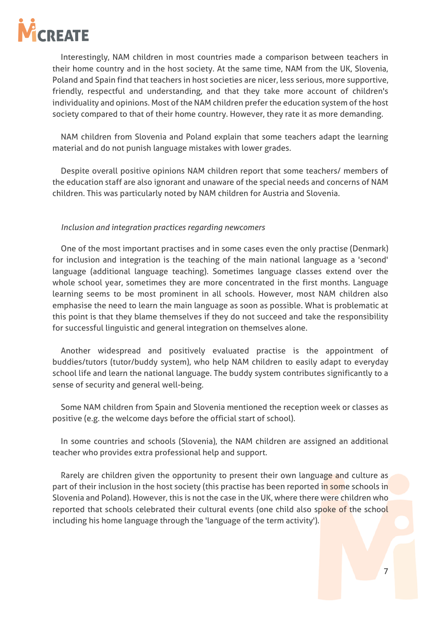![](_page_9_Picture_0.jpeg)

Interestingly, NAM children in most countries made a comparison between teachers in their home country and in the host society. At the same time, NAM from the UK, Slovenia, Poland and Spain find that teachers in host societies are nicer, less serious, more supportive, friendly, respectful and understanding, and that they take more account of children's individuality and opinions. Most of the NAM children prefer the education system of the host society compared to that of their home country. However, they rate it as more demanding.

NAM children from Slovenia and Poland explain that some teachers adapt the learning material and do not punish language mistakes with lower grades.

Despite overall positive opinions NAM children report that some teachers/ members of the education staff are also ignorant and unaware of the special needs and concerns of NAM children. This was particularly noted by NAM children for Austria and Slovenia.

#### *Inclusion and integration practices regarding newcomers*

One of the most important practises and in some cases even the only practise (Denmark) for inclusion and integration is the teaching of the main national language as a 'second' language (additional language teaching). Sometimes language classes extend over the whole school year, sometimes they are more concentrated in the first months. Language learning seems to be most prominent in all schools. However, most NAM children also emphasise the need to learn the main language as soon as possible. What is problematic at this point is that they blame themselves if they do not succeed and take the responsibility for successful linguistic and general integration on themselves alone.

Another widespread and positively evaluated practise is the appointment of buddies/tutors (tutor/buddy system), who help NAM children to easily adapt to everyday school life and learn the national language. The buddy system contributes significantly to a sense of security and general well-being.

Some NAM children from Spain and Slovenia mentioned the reception week or classes as positive (e.g. the welcome days before the official start of school).

In some countries and schools (Slovenia), the NAM children are assigned an additional teacher who provides extra professional help and support.

Rarely are children given the opportunity to present their own language and culture as part of their inclusion in the host society (this practise has been reported in some schools in Slovenia and Poland). However, this is not the case in the UK, where there were children who reported that schools celebrated their cultural events (one child also spoke of the school including his home language through the 'language of the term activity').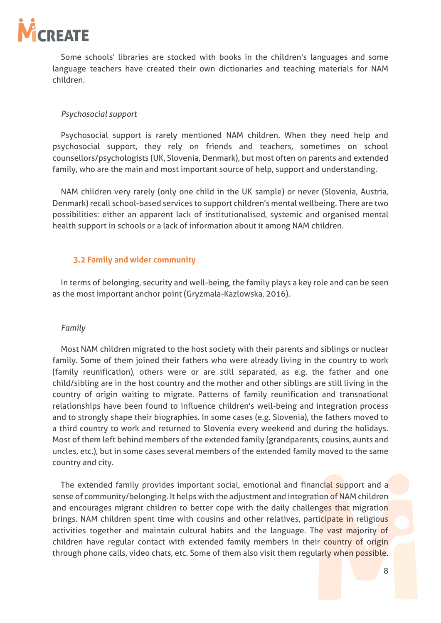![](_page_10_Picture_0.jpeg)

Some schools' libraries are stocked with books in the children's languages and some language teachers have created their own dictionaries and teaching materials for NAM children.

#### *Psychosocial support*

Psychosocial support is rarely mentioned NAM children. When they need help and psychosocial support, they rely on friends and teachers, sometimes on school counsellors/psychologists (UK, Slovenia, Denmark), but most often on parents and extended family, who are the main and most important source of help, support and understanding.

NAM children very rarely (only one child in the UK sample) or never (Slovenia, Austria, Denmark) recall school-based services to support children's mental wellbeing. There are two possibilities: either an apparent lack of institutionalised, systemic and organised mental health support in schools or a lack of information about it among NAM children.

#### <span id="page-10-0"></span>**3.2 Family and wider community**

In terms of belonging, security and well-being, the family plays a key role and can be seen as the most important anchor point (Gryzmala-Kazlowska, 2016).

#### *Family*

Most NAM children migrated to the host society with their parents and siblings or nuclear family. Some of them joined their fathers who were already living in the country to work (family reunification), others were or are still separated, as e.g. the father and one child/sibling are in the host country and the mother and other siblings are still living in the country of origin waiting to migrate. Patterns of family reunification and transnational relationships have been found to influence children's well-being and integration process and to strongly shape their biographies. In some cases (e.g. Slovenia), the fathers moved to a third country to work and returned to Slovenia every weekend and during the holidays. Most of them left behind members of the extended family (grandparents, cousins, aunts and uncles, etc.), but in some cases several members of the extended family moved to the same country and city.

The extended family provides important social, emotional and financial support and a sense of community/belonging. It helps with the adjustment and integration of NAM children and encourages migrant children to better cope with the daily challenges that migration brings. NAM children spent time with cousins and other relatives, participate in religious activities together and maintain cultural habits and the language. The vast majority of children have regular contact with extended family members in their country of origin through phone calls, video chats, etc. Some of them also visit them regularly when possible.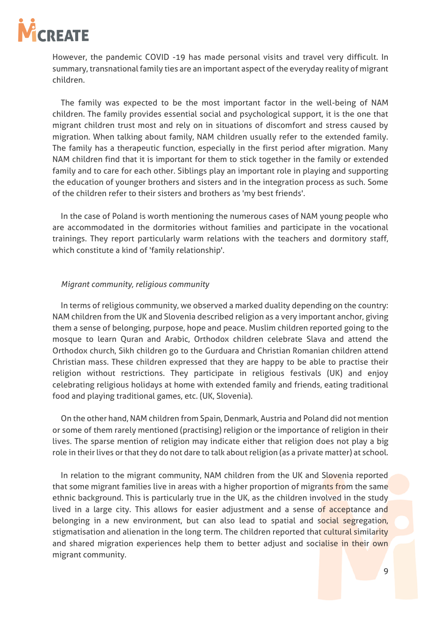![](_page_11_Picture_0.jpeg)

However, the pandemic COVID -19 has made personal visits and travel very difficult. In summary, transnational family ties are an important aspect of the everyday reality of migrant children.

The family was expected to be the most important factor in the well-being of NAM children. The family provides essential social and psychological support, it is the one that migrant children trust most and rely on in situations of discomfort and stress caused by migration. When talking about family, NAM children usually refer to the extended family. The family has a therapeutic function, especially in the first period after migration. Many NAM children find that it is important for them to stick together in the family or extended family and to care for each other. Siblings play an important role in playing and supporting the education of younger brothers and sisters and in the integration process as such. Some of the children refer to their sisters and brothers as 'my best friends'.

In the case of Poland is worth mentioning the numerous cases of NAM young people who are accommodated in the dormitories without families and participate in the vocational trainings. They report particularly warm relations with the teachers and dormitory staff, which constitute a kind of 'family relationship'.

#### *Migrant community, religious community*

In terms of religious community, we observed a marked duality depending on the country: NAM children from the UK and Slovenia described religion as a very important anchor, giving them a sense of belonging, purpose, hope and peace. Muslim children reported going to the mosque to learn Quran and Arabic, Orthodox children celebrate Slava and attend the Orthodox church, Sikh children go to the Gurduara and Christian Romanian children attend Christian mass. These children expressed that they are happy to be able to practise their religion without restrictions. They participate in religious festivals (UK) and enjoy celebrating religious holidays at home with extended family and friends, eating traditional food and playing traditional games, etc. (UK, Slovenia).

On the other hand, NAM children from Spain, Denmark, Austria and Poland did not mention or some of them rarely mentioned (practising) religion or the importance of religion in their lives. The sparse mention of religion may indicate either that religion does not play a big role in their lives or that they do not dare to talk about religion (as a private matter) at school.

In relation to the migrant community, NAM children from the UK and Slovenia reported that some migrant families live in areas with a higher proportion of migrants from the same ethnic background. This is particularly true in the UK, as the children involved in the study lived in a large city. This allows for easier adjustment and a sense of acceptance and belonging in a new environment, but can also lead to spatial and social segregation, stigmatisation and alienation in the long term. The children reported that cultural similarity and shared migration experiences help them to better adjust and socialise in their own migrant community.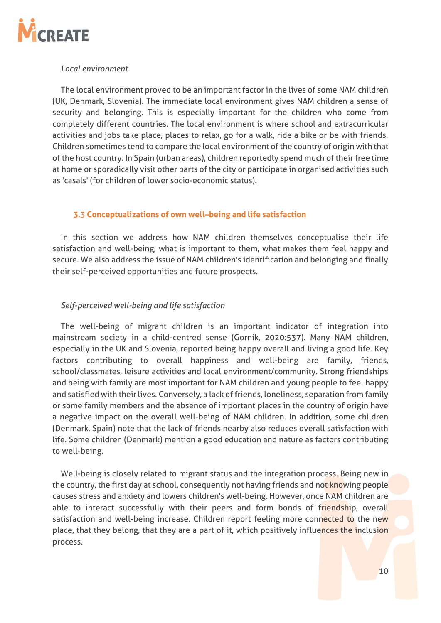![](_page_12_Picture_0.jpeg)

#### *Local environment*

The local environment proved to be an important factor in the lives of some NAM children (UK, Denmark, Slovenia). The immediate local environment gives NAM children a sense of security and belonging. This is especially important for the children who come from completely different countries. The local environment is where school and extracurricular activities and jobs take place, places to relax, go for a walk, ride a bike or be with friends. Children sometimes tend to compare the local environment of the country of origin with that of the host country. In Spain (urban areas), children reportedly spend much of their free time at home or sporadically visit other parts of the city or participate in organised activities such as 'casals' (for children of lower socio-economic status).

#### <span id="page-12-0"></span>**3**.3 **Conceptualizations of own well–being and life satisfaction**

In this section we address how NAM children themselves conceptualise their life satisfaction and well-being, what is important to them, what makes them feel happy and secure. We also address the issue of NAM children's identification and belonging and finally their self-perceived opportunities and future prospects.

#### *Self-perceived well-being and life satisfaction*

The well-being of migrant children is an important indicator of integration into mainstream society in a child-centred sense (Gornik, 2020:537). Many NAM children, especially in the UK and Slovenia, reported being happy overall and living a good life. Key factors contributing to overall happiness and well-being are family, friends, school/classmates, leisure activities and local environment/community. Strong friendships and being with family are most important for NAM children and young people to feel happy and satisfied with their lives. Conversely, a lack of friends, loneliness, separation from family or some family members and the absence of important places in the country of origin have a negative impact on the overall well-being of NAM children. In addition, some children (Denmark, Spain) note that the lack of friends nearby also reduces overall satisfaction with life. Some children (Denmark) mention a good education and nature as factors contributing to well-being.

Well-being is closely related to migrant status and the integration process. Being new in the country, the first day at school, consequently not having friends and not knowing people causes stress and anxiety and lowers children's well-being. However, once NAM children are able to interact successfully with their peers and form bonds of friendship, overall satisfaction and well-being increase. Children report feeling more connected to the new place, that they belong, that they are a part of it, which positively influences the inclusion process.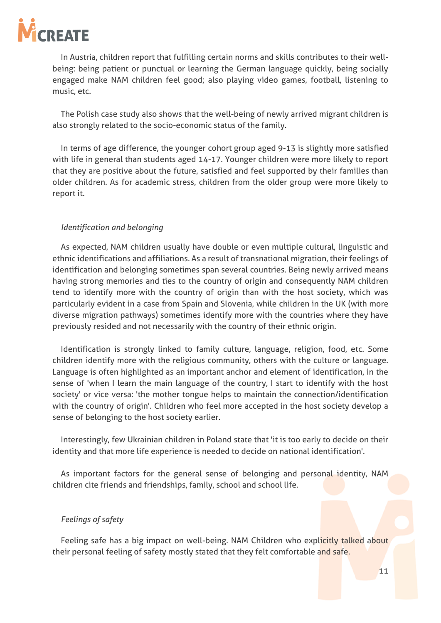![](_page_13_Picture_0.jpeg)

In Austria, children report that fulfilling certain norms and skills contributes to their wellbeing: being patient or punctual or learning the German language quickly, being socially engaged make NAM children feel good; also playing video games, football, listening to music, etc.

The Polish case study also shows that the well-being of newly arrived migrant children is also strongly related to the socio-economic status of the family.

In terms of age difference, the younger cohort group aged 9-13 is slightly more satisfied with life in general than students aged 14-17. Younger children were more likely to report that they are positive about the future, satisfied and feel supported by their families than older children. As for academic stress, children from the older group were more likely to report it.

#### *Identification and belonging*

As expected, NAM children usually have double or even multiple cultural, linguistic and ethnic identifications and affiliations. As a result of transnational migration, their feelings of identification and belonging sometimes span several countries. Being newly arrived means having strong memories and ties to the country of origin and consequently NAM children tend to identify more with the country of origin than with the host society, which was particularly evident in a case from Spain and Slovenia, while children in the UK (with more diverse migration pathways) sometimes identify more with the countries where they have previously resided and not necessarily with the country of their ethnic origin.

Identification is strongly linked to family culture, language, religion, food, etc. Some children identify more with the religious community, others with the culture or language. Language is often highlighted as an important anchor and element of identification, in the sense of 'when I learn the main language of the country, I start to identify with the host society' or vice versa: 'the mother tongue helps to maintain the connection/identification with the country of origin'. Children who feel more accepted in the host society develop a sense of belonging to the host society earlier.

Interestingly, few Ukrainian children in Poland state that 'it is too early to decide on their identity and that more life experience is needed to decide on national identification'.

As important factors for the general sense of belonging and personal identity, NAM children cite friends and friendships, family, school and school life.

#### *Feelings of safety*

Feeling safe has a big impact on well-being. NAM Children who explicitly talked about their personal feeling of safety mostly stated that they felt comfortable and safe.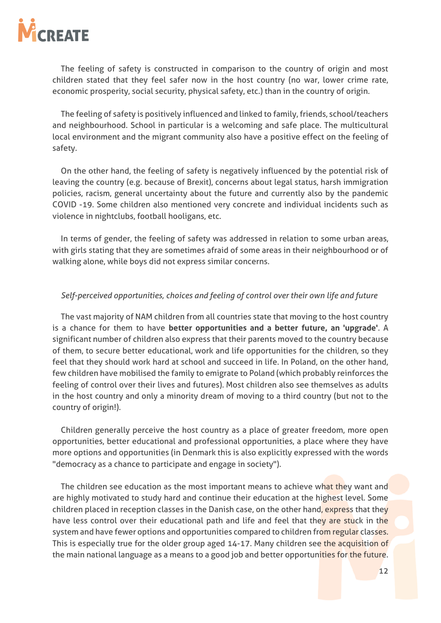![](_page_14_Picture_0.jpeg)

The feeling of safety is constructed in comparison to the country of origin and most children stated that they feel safer now in the host country (no war, lower crime rate, economic prosperity, social security, physical safety, etc.) than in the country of origin.

The feeling of safety is positively influenced and linked to family, friends, school/teachers and neighbourhood. School in particular is a welcoming and safe place. The multicultural local environment and the migrant community also have a positive effect on the feeling of safety.

On the other hand, the feeling of safety is negatively influenced by the potential risk of leaving the country (e.g. because of Brexit), concerns about legal status, harsh immigration policies, racism, general uncertainty about the future and currently also by the pandemic COVID -19. Some children also mentioned very concrete and individual incidents such as violence in nightclubs, football hooligans, etc.

In terms of gender, the feeling of safety was addressed in relation to some urban areas, with girls stating that they are sometimes afraid of some areas in their neighbourhood or of walking alone, while boys did not express similar concerns.

#### *Self-perceived opportunities, choices and feeling of control over their own life and future*

The vast majority of NAM children from all countries state that moving to the host country is a chance for them to have **better opportunities and a better future, an 'upgrade'**. A significant number of children also express that their parents moved to the country because of them, to secure better educational, work and life opportunities for the children, so they feel that they should work hard at school and succeed in life. In Poland, on the other hand, few children have mobilised the family to emigrate to Poland (which probably reinforces the feeling of control over their lives and futures). Most children also see themselves as adults in the host country and only a minority dream of moving to a third country (but not to the country of origin!).

Children generally perceive the host country as a place of greater freedom, more open opportunities, better educational and professional opportunities, a place where they have more options and opportunities (in Denmark this is also explicitly expressed with the words "democracy as a chance to participate and engage in society").

The children see education as the most important means to achieve what they want and are highly motivated to study hard and continue their education at the highest level. Some children placed in reception classes in the Danish case, on the other hand, express that they have less control over their educational path and life and feel that they are stuck in the system and have fewer options and opportunities compared to children from regular classes. This is especially true for the older group aged 14-17. Many children see the acquisition of the main national language as a means to a good job and better opportunities for the future.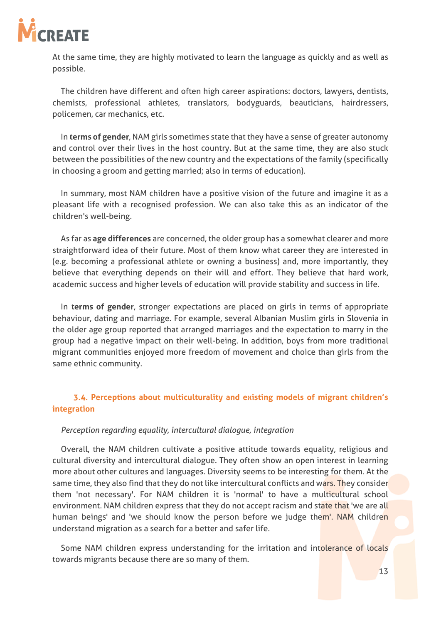![](_page_15_Picture_0.jpeg)

At the same time, they are highly motivated to learn the language as quickly and as well as possible.

The children have different and often high career aspirations: doctors, lawyers, dentists, chemists, professional athletes, translators, bodyguards, beauticians, hairdressers, policemen, car mechanics, etc.

In **terms of gender**, NAM girls sometimes state that they have a sense of greater autonomy and control over their lives in the host country. But at the same time, they are also stuck between the possibilities of the new country and the expectations of the family (specifically in choosing a groom and getting married; also in terms of education).

In summary, most NAM children have a positive vision of the future and imagine it as a pleasant life with a recognised profession. We can also take this as an indicator of the children's well-being.

As far as **age differences** are concerned, the older group has a somewhat clearer and more straightforward idea of their future. Most of them know what career they are interested in (e.g. becoming a professional athlete or owning a business) and, more importantly, they believe that everything depends on their will and effort. They believe that hard work, academic success and higher levels of education will provide stability and success in life.

In **terms of gender**, stronger expectations are placed on girls in terms of appropriate behaviour, dating and marriage. For example, several Albanian Muslim girls in Slovenia in the older age group reported that arranged marriages and the expectation to marry in the group had a negative impact on their well-being. In addition, boys from more traditional migrant communities enjoyed more freedom of movement and choice than girls from the same ethnic community.

### <span id="page-15-0"></span>**3.4. Perceptions about multiculturality and existing models of migrant children's integration**

#### *Perception regarding equality, intercultural dialogue, integration*

Overall, the NAM children cultivate a positive attitude towards equality, religious and cultural diversity and intercultural dialogue. They often show an open interest in learning more about other cultures and languages. Diversity seems to be interesting for them. At the same time, they also find that they do not like intercultural conflicts and wars. They consider them 'not necessary'. For NAM children it is 'normal' to have a multicultural school environment. NAM children express that they do not accept racism and state that 'we are all human beings' and 'we should know the person before we judge them'. NAM children understand migration as a search for a better and safer life.

Some NAM children express understanding for the irritation and intolerance of locals towards migrants because there are so many of them.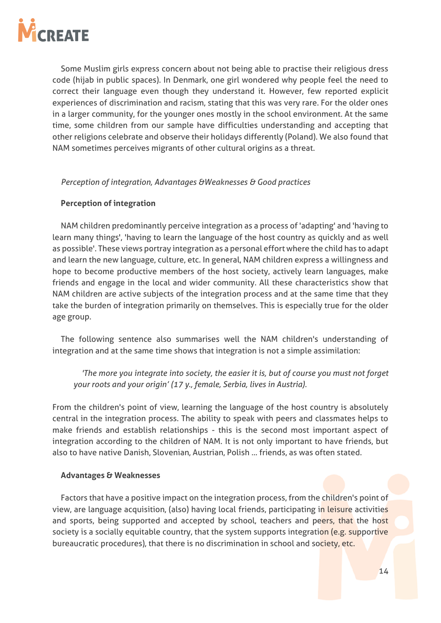![](_page_16_Picture_0.jpeg)

Some Muslim girls express concern about not being able to practise their religious dress code (hijab in public spaces). In Denmark, one girl wondered why people feel the need to correct their language even though they understand it. However, few reported explicit experiences of discrimination and racism, stating that this was very rare. For the older ones in a larger community, for the younger ones mostly in the school environment. At the same time, some children from our sample have difficulties understanding and accepting that other religions celebrate and observe their holidays differently (Poland). We also found that NAM sometimes perceives migrants of other cultural origins as a threat.

#### *Perception of integration, Advantages &Weaknesses & Good practices*

#### **Perception of integration**

NAM children predominantly perceive integration as a process of 'adapting' and 'having to learn many things', 'having to learn the language of the host country as quickly and as well as possible'. These views portray integration as a personal effort where the child has to adapt and learn the new language, culture, etc. In general, NAM children express a willingness and hope to become productive members of the host society, actively learn languages, make friends and engage in the local and wider community. All these characteristics show that NAM children are active subjects of the integration process and at the same time that they take the burden of integration primarily on themselves. This is especially true for the older age group.

The following sentence also summarises well the NAM children's understanding of integration and at the same time shows that integration is not a simple assimilation:

*'The more you integrate into society, the easier it is, but of course you must not forget your roots and your origin' (17 y., female, Serbia, lives in Austria).*

From the children's point of view, learning the language of the host country is absolutely central in the integration process. The ability to speak with peers and classmates helps to make friends and establish relationships - this is the second most important aspect of integration according to the children of NAM. It is not only important to have friends, but also to have native Danish, Slovenian, Austrian, Polish ... friends, as was often stated.

#### **Advantages & Weaknesses**

Factors that have a positive impact on the integration process, from the children's point of view, are language acquisition, (also) having local friends, participating in leisure activities and sports, being supported and accepted by school, teachers and peers, that the host society is a socially equitable country, that the system supports integration (e.g. supportive bureaucratic procedures), that there is no discrimination in school and society, etc.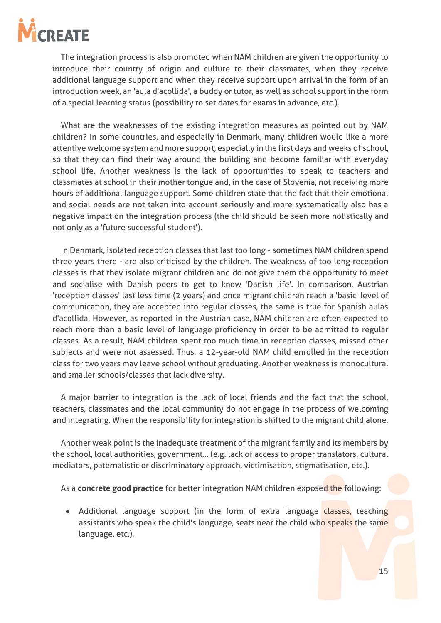![](_page_17_Picture_0.jpeg)

The integration process is also promoted when NAM children are given the opportunity to introduce their country of origin and culture to their classmates, when they receive additional language support and when they receive support upon arrival in the form of an introduction week, an 'aula d'acollida', a buddy or tutor, as well as school support in the form of a special learning status (possibility to set dates for exams in advance, etc.).

What are the weaknesses of the existing integration measures as pointed out by NAM children? In some countries, and especially in Denmark, many children would like a more attentive welcome system and more support, especially in the first days and weeks of school, so that they can find their way around the building and become familiar with everyday school life. Another weakness is the lack of opportunities to speak to teachers and classmates at school in their mother tongue and, in the case of Slovenia, not receiving more hours of additional language support. Some children state that the fact that their emotional and social needs are not taken into account seriously and more systematically also has a negative impact on the integration process (the child should be seen more holistically and not only as a 'future successful student').

In Denmark, isolated reception classes that last too long - sometimes NAM children spend three years there - are also criticised by the children. The weakness of too long reception classes is that they isolate migrant children and do not give them the opportunity to meet and socialise with Danish peers to get to know 'Danish life'. In comparison, Austrian 'reception classes' last less time (2 years) and once migrant children reach a 'basic' level of communication, they are accepted into regular classes, the same is true for Spanish aulas d'acollida. However, as reported in the Austrian case, NAM children are often expected to reach more than a basic level of language proficiency in order to be admitted to regular classes. As a result, NAM children spent too much time in reception classes, missed other subjects and were not assessed. Thus, a 12-year-old NAM child enrolled in the reception class for two years may leave school without graduating. Another weakness is monocultural and smaller schools/classes that lack diversity.

A major barrier to integration is the lack of local friends and the fact that the school, teachers, classmates and the local community do not engage in the process of welcoming and integrating. When the responsibility for integration is shifted to the migrant child alone.

Another weak point is the inadequate treatment of the migrant family and its members by the school, local authorities, government... (e.g. lack of access to proper translators, cultural mediators, paternalistic or discriminatory approach, victimisation, stigmatisation, etc.).

As a **concrete good practice** for better integration NAM children exposed the following:

• Additional language support (in the form of extra language classes, teaching assistants who speak the child's language, seats near the child who speaks the same language, etc.).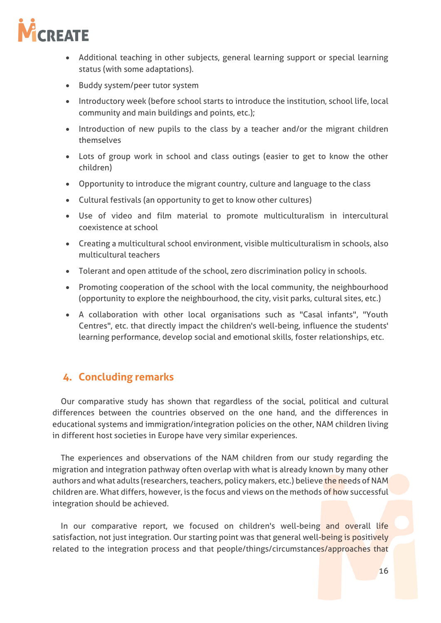![](_page_18_Picture_0.jpeg)

- Additional teaching in other subjects, general learning support or special learning status (with some adaptations).
- Buddy system/peer tutor system
- Introductory week (before school starts to introduce the institution, school life, local community and main buildings and points, etc.);
- Introduction of new pupils to the class by a teacher and/or the migrant children themselves
- Lots of group work in school and class outings (easier to get to know the other children)
- Opportunity to introduce the migrant country, culture and language to the class
- Cultural festivals (an opportunity to get to know other cultures)
- Use of video and film material to promote multiculturalism in intercultural coexistence at school
- Creating a multicultural school environment, visible multiculturalism in schools, also multicultural teachers
- Tolerant and open attitude of the school, zero discrimination policy in schools.
- Promoting cooperation of the school with the local community, the neighbourhood (opportunity to explore the neighbourhood, the city, visit parks, cultural sites, etc.)
- A collaboration with other local organisations such as "Casal infants", "Youth Centres", etc. that directly impact the children's well-being, influence the students' learning performance, develop social and emotional skills, foster relationships, etc.

# <span id="page-18-0"></span>**4. Concluding remarks**

Our comparative study has shown that regardless of the social, political and cultural differences between the countries observed on the one hand, and the differences in educational systems and immigration/integration policies on the other, NAM children living in different host societies in Europe have very similar experiences.

The experiences and observations of the NAM children from our study regarding the migration and integration pathway often overlap with what is already known by many other authors and what adults (researchers, teachers, policy makers, etc.) believe the needs of NAM children are. What differs, however, is the focus and views on the methods of how successful integration should be achieved.

In our comparative report, we focused on children's well-being and overall life satisfaction, not just integration. Our starting point was that general well-being is positively related to the integration process and that people/things/circumstances/approaches that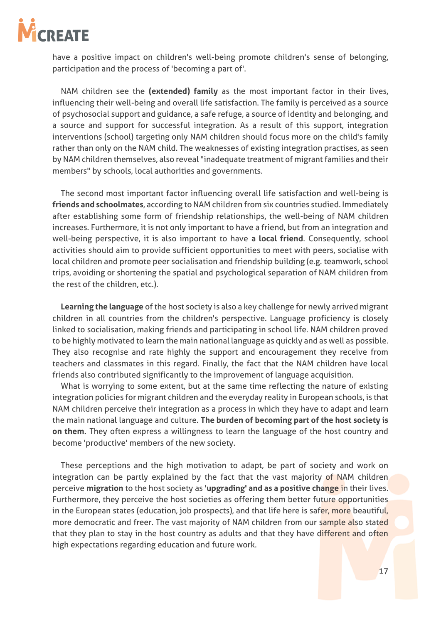![](_page_19_Picture_0.jpeg)

have a positive impact on children's well-being promote children's sense of belonging, participation and the process of 'becoming a part of'.

NAM children see the **(extended) family** as the most important factor in their lives, influencing their well-being and overall life satisfaction. The family is perceived as a source of psychosocial support and guidance, a safe refuge, a source of identity and belonging, and a source and support for successful integration. As a result of this support, integration interventions (school) targeting only NAM children should focus more on the child's family rather than only on the NAM child. The weaknesses of existing integration practises, as seen by NAM children themselves, also reveal "inadequate treatment of migrant families and their members" by schools, local authorities and governments.

The second most important factor influencing overall life satisfaction and well-being is **friends and schoolmates**, according to NAM children from six countries studied. Immediately after establishing some form of friendship relationships, the well-being of NAM children increases. Furthermore, it is not only important to have a friend, but from an integration and well-being perspective, it is also important to have **a local friend**. Consequently, school activities should aim to provide sufficient opportunities to meet with peers, socialise with local children and promote peer socialisation and friendship building (e.g. teamwork, school trips, avoiding or shortening the spatial and psychological separation of NAM children from the rest of the children, etc.).

**Learning the language** of the host society is also a key challenge for newly arrived migrant children in all countries from the children's perspective. Language proficiency is closely linked to socialisation, making friends and participating in school life. NAM children proved to be highly motivated to learn the main national language as quickly and as well as possible. They also recognise and rate highly the support and encouragement they receive from teachers and classmates in this regard. Finally, the fact that the NAM children have local friends also contributed significantly to the improvement of language acquisition.

What is worrying to some extent, but at the same time reflecting the nature of existing integration policies for migrant children and the everyday reality in European schools, is that NAM children perceive their integration as a process in which they have to adapt and learn the main national language and culture. **The burden of becoming part of the host society is on them.** They often express a willingness to learn the language of the host country and become 'productive' members of the new society.

These perceptions and the high motivation to adapt, be part of society and work on integration can be partly explained by the fact that the vast majority of NAM children perceive **migration** to the host society as **'upgrading' and as a positive change** in their lives. Furthermore, they perceive the host societies as offering them better future opportunities in the European states (education, job prospects), and that life here is safer, more beautiful, more democratic and freer. The vast majority of NAM children from our sample also stated that they plan to stay in the host country as adults and that they have different and often high expectations regarding education and future work.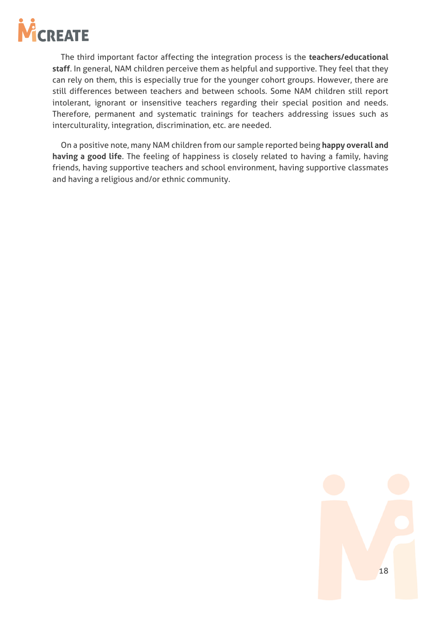![](_page_20_Picture_0.jpeg)

The third important factor affecting the integration process is the **teachers/educational staff**. In general, NAM children perceive them as helpful and supportive. They feel that they can rely on them, this is especially true for the younger cohort groups. However, there are still differences between teachers and between schools. Some NAM children still report intolerant, ignorant or insensitive teachers regarding their special position and needs. Therefore, permanent and systematic trainings for teachers addressing issues such as interculturality, integration, discrimination, etc. are needed.

On a positive note, many NAM children from our sample reported being **happy overall and having a good life**. The feeling of happiness is closely related to having a family, having friends, having supportive teachers and school environment, having supportive classmates and having a religious and/or ethnic community.

![](_page_20_Figure_3.jpeg)